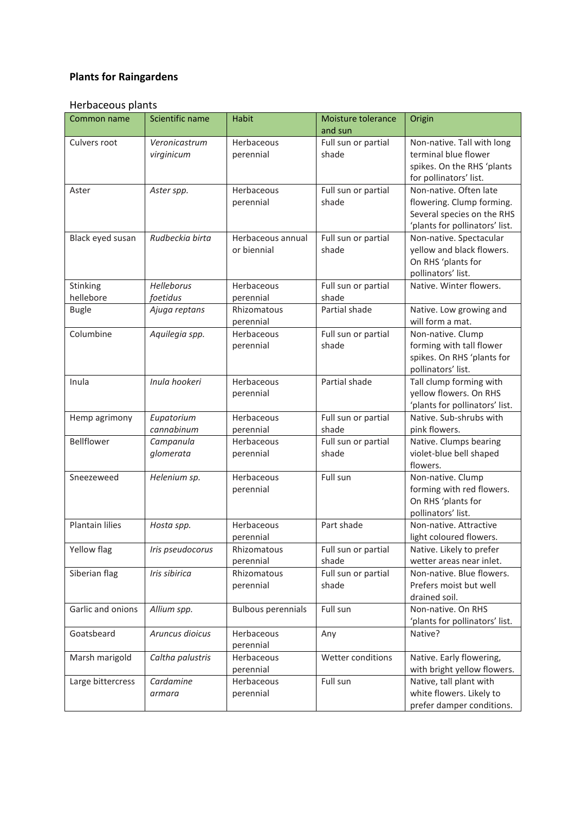## **Plants for Raingardens**

## Herbaceous plants

| Common name               | Scientific name             | <b>Habit</b>                          | Moisture tolerance<br>and sun | Origin                                                                                                              |
|---------------------------|-----------------------------|---------------------------------------|-------------------------------|---------------------------------------------------------------------------------------------------------------------|
| Culvers root              | Veronicastrum<br>virginicum | Herbaceous<br>perennial               | Full sun or partial<br>shade  | Non-native. Tall with long<br>terminal blue flower                                                                  |
|                           |                             |                                       |                               | spikes. On the RHS 'plants<br>for pollinators' list.                                                                |
| Aster                     | Aster spp.                  | Herbaceous<br>perennial               | Full sun or partial<br>shade  | Non-native. Often late<br>flowering. Clump forming.<br>Several species on the RHS<br>'plants for pollinators' list. |
| Black eyed susan          | Rudbeckia birta             | Herbaceous annual<br>or biennial      | Full sun or partial<br>shade  | Non-native. Spectacular<br>yellow and black flowers.<br>On RHS 'plants for<br>pollinators' list.                    |
| Stinking                  | Helleborus                  | Herbaceous                            | Full sun or partial           | Native. Winter flowers.                                                                                             |
| hellebore<br><b>Bugle</b> | foetidus<br>Ajuga reptans   | perennial<br>Rhizomatous<br>perennial | shade<br>Partial shade        | Native. Low growing and<br>will form a mat.                                                                         |
| Columbine                 | Aquilegia spp.              | Herbaceous<br>perennial               | Full sun or partial<br>shade  | Non-native. Clump<br>forming with tall flower<br>spikes. On RHS 'plants for<br>pollinators' list.                   |
| Inula                     | Inula hookeri               | Herbaceous<br>perennial               | Partial shade                 | Tall clump forming with<br>yellow flowers. On RHS<br>'plants for pollinators' list.                                 |
| Hemp agrimony             | Eupatorium<br>cannabinum    | Herbaceous<br>perennial               | Full sun or partial<br>shade  | Native. Sub-shrubs with<br>pink flowers.                                                                            |
| Bellflower                | Campanula<br>glomerata      | Herbaceous<br>perennial               | Full sun or partial<br>shade  | Native. Clumps bearing<br>violet-blue bell shaped<br>flowers.                                                       |
| Sneezeweed                | Helenium sp.                | Herbaceous<br>perennial               | Full sun                      | Non-native. Clump<br>forming with red flowers.<br>On RHS 'plants for<br>pollinators' list.                          |
| Plantain lilies           | Hosta spp.                  | Herbaceous<br>perennial               | Part shade                    | Non-native. Attractive<br>light coloured flowers.                                                                   |
| Yellow flag               | Iris pseudocorus            | Rhizomatous<br>perennial              | Full sun or partial<br>shade  | Native. Likely to prefer<br>wetter areas near inlet.                                                                |
| Siberian flag             | Iris sibirica               | Rhizomatous<br>perennial              | Full sun or partial<br>shade  | Non-native. Blue flowers.<br>Prefers moist but well<br>drained soil.                                                |
| Garlic and onions         | Allium spp.                 | <b>Bulbous perennials</b>             | Full sun                      | Non-native. On RHS<br>'plants for pollinators' list.                                                                |
| Goatsbeard                | Aruncus dioicus             | Herbaceous<br>perennial               | Any                           | Native?                                                                                                             |
| Marsh marigold            | Caltha palustris            | Herbaceous<br>perennial               | Wetter conditions             | Native. Early flowering,<br>with bright yellow flowers.                                                             |
| Large bittercress         | Cardamine<br>armara         | Herbaceous<br>perennial               | Full sun                      | Native, tall plant with<br>white flowers. Likely to<br>prefer damper conditions.                                    |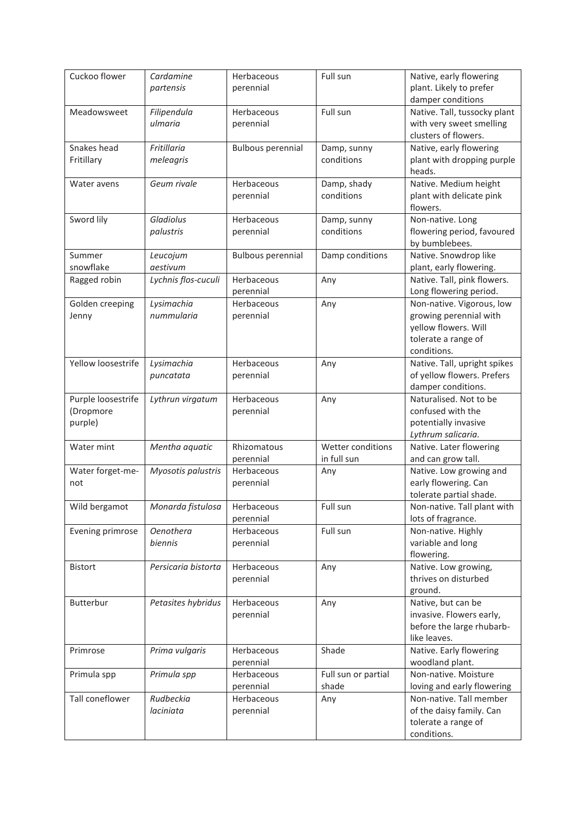| Cuckoo flower                              | Cardamine<br>partensis      | Herbaceous<br>perennial  | Full sun                         | Native, early flowering<br>plant. Likely to prefer<br>damper conditions                                           |
|--------------------------------------------|-----------------------------|--------------------------|----------------------------------|-------------------------------------------------------------------------------------------------------------------|
| Meadowsweet                                | Filipendula<br>ulmaria      | Herbaceous<br>perennial  | Full sun                         | Native. Tall, tussocky plant<br>with very sweet smelling<br>clusters of flowers.                                  |
| Snakes head<br>Fritillary                  | Fritillaria<br>meleagris    | <b>Bulbous perennial</b> | Damp, sunny<br>conditions        | Native, early flowering<br>plant with dropping purple<br>heads.                                                   |
| Water avens                                | Geum rivale                 | Herbaceous<br>perennial  | Damp, shady<br>conditions        | Native. Medium height<br>plant with delicate pink<br>flowers.                                                     |
| Sword lily                                 | Gladiolus<br>palustris      | Herbaceous<br>perennial  | Damp, sunny<br>conditions        | Non-native. Long<br>flowering period, favoured<br>by bumblebees.                                                  |
| Summer<br>snowflake                        | Leucojum<br>aestivum        | <b>Bulbous perennial</b> | Damp conditions                  | Native. Snowdrop like<br>plant, early flowering.                                                                  |
| Ragged robin                               | Lychnis flos-cuculi         | Herbaceous<br>perennial  | Any                              | Native. Tall, pink flowers.<br>Long flowering period.                                                             |
| Golden creeping<br>Jenny                   | Lysimachia<br>nummularia    | Herbaceous<br>perennial  | Any                              | Non-native. Vigorous, low<br>growing perennial with<br>yellow flowers. Will<br>tolerate a range of<br>conditions. |
| Yellow loosestrife                         | Lysimachia<br>puncatata     | Herbaceous<br>perennial  | Any                              | Native. Tall, upright spikes<br>of yellow flowers. Prefers<br>damper conditions.                                  |
| Purple loosestrife<br>(Dropmore<br>purple) | Lythrun virgatum            | Herbaceous<br>perennial  | Any                              | Naturalised. Not to be<br>confused with the<br>potentially invasive<br>Lythrum salicaria.                         |
| Water mint                                 | Mentha aquatic              | Rhizomatous<br>perennial | Wetter conditions<br>in full sun | Native. Later flowering<br>and can grow tall.                                                                     |
| Water forget-me-<br>not                    | Myosotis palustris          | Herbaceous<br>perennial  | Any                              | Native. Low growing and<br>early flowering. Can<br>tolerate partial shade.                                        |
| Wild bergamot                              | Monarda fistulosa           | Herbaceous<br>perennial  | Full sun                         | Non-native. Tall plant with<br>lots of fragrance.                                                                 |
| Evening primrose                           | <b>Oenothera</b><br>biennis | Herbaceous<br>perennial  | Full sun                         | Non-native. Highly<br>variable and long<br>flowering.                                                             |
| <b>Bistort</b>                             | Persicaria bistorta         | Herbaceous<br>perennial  | Any                              | Native. Low growing,<br>thrives on disturbed<br>ground.                                                           |
| Butterbur                                  | Petasites hybridus          | Herbaceous<br>perennial  | Any                              | Native, but can be<br>invasive. Flowers early,<br>before the large rhubarb-<br>like leaves.                       |
| Primrose                                   | Prima vulgaris              | Herbaceous<br>perennial  | Shade                            | Native. Early flowering<br>woodland plant.                                                                        |
| Primula spp                                | Primula spp                 | Herbaceous<br>perennial  | Full sun or partial<br>shade     | Non-native. Moisture<br>loving and early flowering                                                                |
| Tall coneflower                            | Rudbeckia<br>laciniata      | Herbaceous<br>perennial  | Any                              | Non-native. Tall member<br>of the daisy family. Can<br>tolerate a range of<br>conditions.                         |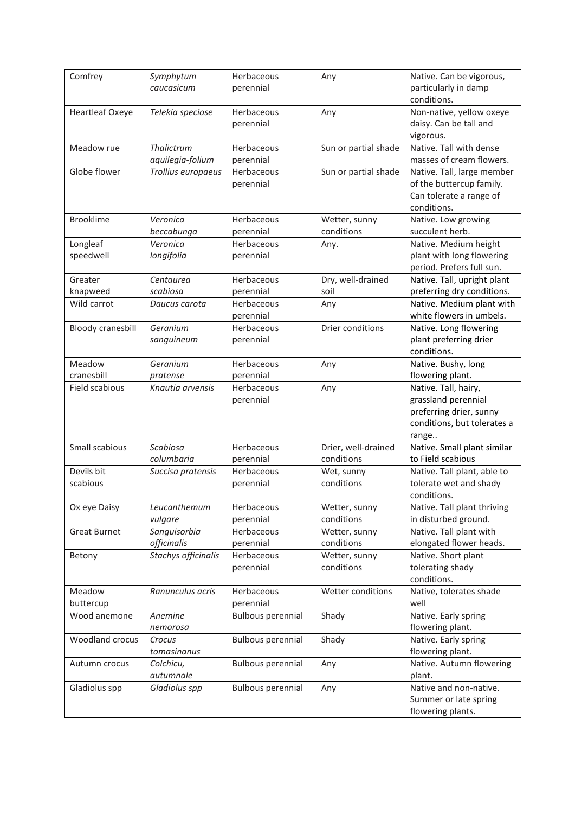| Comfrey                  | Symphytum                | Herbaceous               | Any                  | Native. Can be vigorous,                            |
|--------------------------|--------------------------|--------------------------|----------------------|-----------------------------------------------------|
|                          | caucasicum               | perennial                |                      | particularly in damp                                |
|                          |                          |                          |                      | conditions.                                         |
| <b>Heartleaf Oxeye</b>   | Telekia speciose         | Herbaceous               | Any                  | Non-native, yellow oxeye                            |
|                          |                          | perennial                |                      | daisy. Can be tall and                              |
|                          |                          |                          |                      | vigorous.                                           |
| Meadow rue               | Thalictrum               | Herbaceous               | Sun or partial shade | Native. Tall with dense                             |
|                          | aquilegia-folium         | perennial                |                      | masses of cream flowers.                            |
| Globe flower             | Trollius europaeus       | Herbaceous               | Sun or partial shade | Native. Tall, large member                          |
|                          |                          | perennial                |                      | of the buttercup family.<br>Can tolerate a range of |
|                          |                          |                          |                      | conditions.                                         |
| <b>Brooklime</b>         | Veronica                 | Herbaceous               | Wetter, sunny        | Native. Low growing                                 |
|                          | beccabunga               | perennial                | conditions           | succulent herb.                                     |
| Longleaf                 | Veronica                 | Herbaceous               | Any.                 | Native. Medium height                               |
| speedwell                | longifolia               | perennial                |                      | plant with long flowering                           |
|                          |                          |                          |                      | period. Prefers full sun.                           |
| Greater                  | Centaurea                | Herbaceous               | Dry, well-drained    | Native. Tall, upright plant                         |
| knapweed                 | scabiosa                 | perennial                | soil                 | preferring dry conditions.                          |
| Wild carrot              | Daucus carota            | Herbaceous               | Any                  | Native. Medium plant with                           |
|                          |                          | perennial                |                      | white flowers in umbels.                            |
| <b>Bloody cranesbill</b> | Geranium                 | Herbaceous               | Drier conditions     | Native. Long flowering                              |
|                          | sanguineum               | perennial                |                      | plant preferring drier                              |
|                          |                          |                          |                      | conditions.                                         |
| Meadow                   | Geranium                 | Herbaceous               | Any                  | Native. Bushy, long                                 |
| cranesbill               | pratense                 | perennial                |                      | flowering plant.                                    |
| Field scabious           | Knautia arvensis         | Herbaceous               | Any                  | Native. Tall, hairy,                                |
|                          |                          | perennial                |                      | grassland perennial                                 |
|                          |                          |                          |                      | preferring drier, sunny                             |
|                          |                          |                          |                      | conditions, but tolerates a                         |
|                          |                          |                          |                      | range                                               |
| Small scabious           | Scabiosa                 | Herbaceous               | Drier, well-drained  | Native. Small plant similar                         |
|                          | columbaria               | perennial                | conditions           | to Field scabious                                   |
| Devils bit               | Succisa pratensis        | Herbaceous               | Wet, sunny           | Native. Tall plant, able to                         |
| scabious                 |                          | perennial                | conditions           | tolerate wet and shady                              |
|                          |                          |                          |                      | conditions.                                         |
| Ox eye Daisy             | Leucanthemum             | Herbaceous               | Wetter, sunny        | Native. Tall plant thriving                         |
|                          | vulgare                  | perennial                | conditions           | in disturbed ground.                                |
| <b>Great Burnet</b>      | Sanguisorbia             | Herbaceous               | Wetter, sunny        | Native. Tall plant with                             |
|                          | officinalis              | perennial                | conditions           | elongated flower heads.                             |
| Betony                   | Stachys officinalis      | Herbaceous               | Wetter, sunny        | Native. Short plant                                 |
|                          |                          | perennial                | conditions           | tolerating shady                                    |
|                          |                          |                          |                      | conditions.                                         |
| Meadow                   | Ranunculus acris         | Herbaceous               | Wetter conditions    | Native, tolerates shade                             |
| buttercup                |                          | perennial                |                      | well                                                |
| Wood anemone             | Anemine                  | <b>Bulbous perennial</b> | Shady                | Native. Early spring                                |
| Woodland crocus          | nemorosa<br>Crocus       |                          | Shady                | flowering plant.<br>Native. Early spring            |
|                          |                          | <b>Bulbous perennial</b> |                      |                                                     |
|                          | tomasinanus<br>Colchicu, | <b>Bulbous perennial</b> |                      | flowering plant.<br>Native. Autumn flowering        |
| Autumn crocus            | autumnale                |                          | Any                  | plant.                                              |
| Gladiolus spp            | Gladiolus spp            | <b>Bulbous perennial</b> | Any                  | Native and non-native.                              |
|                          |                          |                          |                      | Summer or late spring                               |
|                          |                          |                          |                      | flowering plants.                                   |
|                          |                          |                          |                      |                                                     |